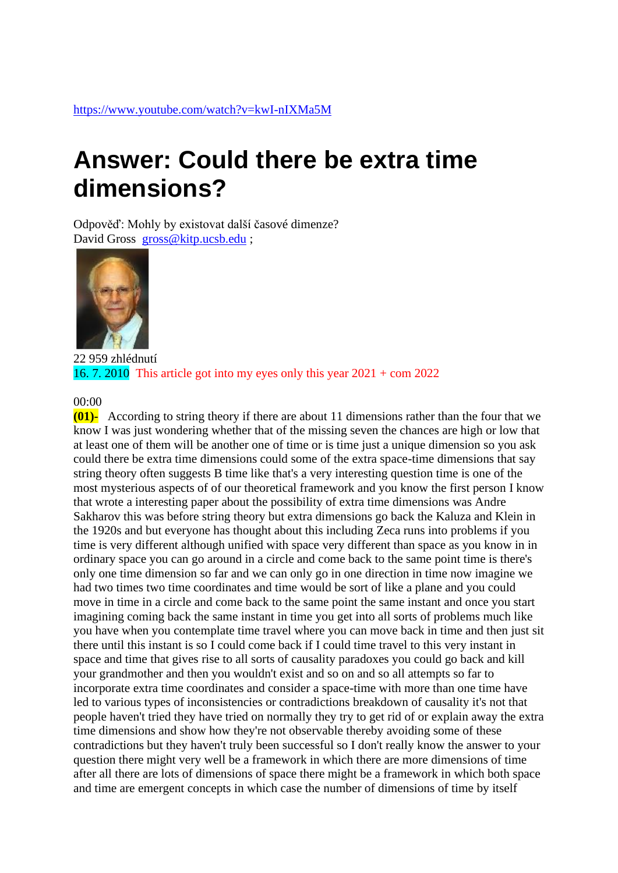## **Answer: Could there be extra time dimensions?**

Odpověď: Mohly by existovat další časové dimenze? David Gross [gross@kitp.ucsb.edu](mailto:gross@kitp.ucsb.edu) ;



22 959 zhlédnutí 16. 7. 2010 This article got into my eyes only this year  $2021 + \text{com } 2022$ 

## 00:00

**(01)-** According to string theory if there are about 11 dimensions rather than the four that we know I was just wondering whether that of the missing seven the chances are high or low that at least one of them will be another one of time or is time just a unique dimension so you ask could there be extra time dimensions could some of the extra space-time dimensions that say string theory often suggests B time like that's a very interesting question time is one of the most mysterious aspects of of our theoretical framework and you know the first person I know that wrote a interesting paper about the possibility of extra time dimensions was Andre Sakharov this was before string theory but extra dimensions go back the Kaluza and Klein in the 1920s and but everyone has thought about this including Zeca runs into problems if you time is very different although unified with space very different than space as you know in in ordinary space you can go around in a circle and come back to the same point time is there's only one time dimension so far and we can only go in one direction in time now imagine we had two times two time coordinates and time would be sort of like a plane and you could move in time in a circle and come back to the same point the same instant and once you start imagining coming back the same instant in time you get into all sorts of problems much like you have when you contemplate time travel where you can move back in time and then just sit there until this instant is so I could come back if I could time travel to this very instant in space and time that gives rise to all sorts of causality paradoxes you could go back and kill your grandmother and then you wouldn't exist and so on and so all attempts so far to incorporate extra time coordinates and consider a space-time with more than one time have led to various types of inconsistencies or contradictions breakdown of causality it's not that people haven't tried they have tried on normally they try to get rid of or explain away the extra time dimensions and show how they're not observable thereby avoiding some of these contradictions but they haven't truly been successful so I don't really know the answer to your question there might very well be a framework in which there are more dimensions of time after all there are lots of dimensions of space there might be a framework in which both space and time are emergent concepts in which case the number of dimensions of time by itself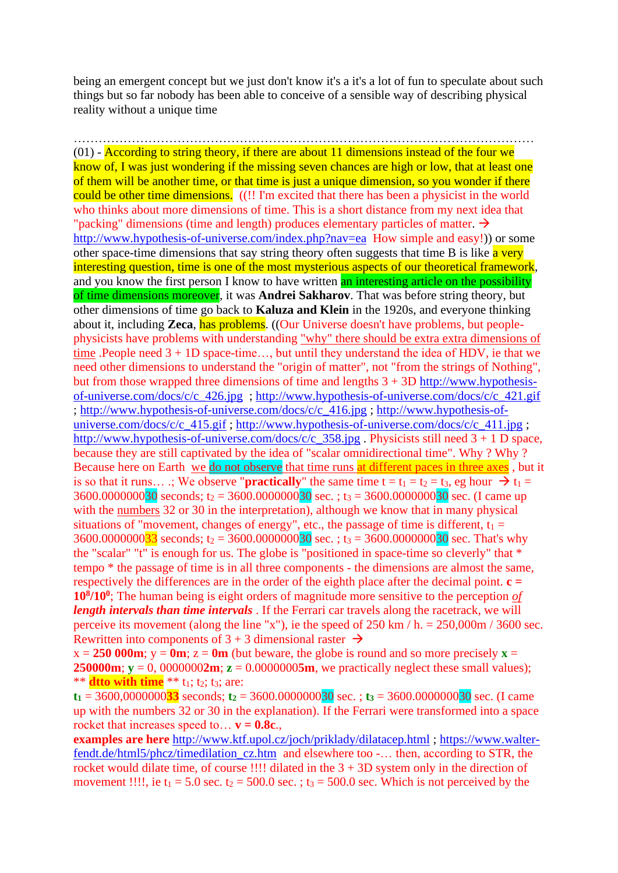being an emergent concept but we just don't know it's a it's a lot of fun to speculate about such things but so far nobody has been able to conceive of a sensible way of describing physical reality without a unique time

…………………………………………………………………………………………………  $(01)$  - According to string theory, if there are about 11 dimensions instead of the four we know of, I was just wondering if the missing seven chances are high or low, that at least one of them will be another time, or that time is just a unique dimension, so you wonder if there could be other time dimensions. ((!! I'm excited that there has been a physicist in the world who thinks about more dimensions of time. This is a short distance from my next idea that "packing" dimensions (time and length) produces elementary particles of matter.  $\rightarrow$ <http://www.hypothesis-of-universe.com/index.php?nav=ea>How simple and easy!)) or some other space-time dimensions that say string theory often suggests that time B is like  $\alpha$  very interesting question, time is one of the most mysterious aspects of our theoretical framework, and you know the first person I know to have written an interesting article on the possibility of time dimensions moreover, it was **Andrei Sakharov**. That was before string theory, but other dimensions of time go back to **Kaluza and Klein** in the 1920s, and everyone thinking about it, including **Zeca**, has problems. ((Our Universe doesn't have problems, but peoplephysicists have problems with understanding "why" there should be extra extra dimensions of time .People need 3 + 1D space-time…, but until they understand the idea of HDV, ie that we need other dimensions to understand the "origin of matter", not "from the strings of Nothing", but from those wrapped three dimensions of time and lengths  $3 + 3D$  [http://www.hypothesis](http://www.hypothesis-of-universe.com/docs/c/c_426.jpg)[of-universe.com/docs/c/c\\_426.jpg](http://www.hypothesis-of-universe.com/docs/c/c_426.jpg) ; [http://www.hypothesis-of-universe.com/docs/c/c\\_421.gif](http://www.hypothesis-of-universe.com/docs/c/c_421.gif) ; [http://www.hypothesis-of-universe.com/docs/c/c\\_416.jpg](http://www.hypothesis-of-universe.com/docs/c/c_416.jpg) ; [http://www.hypothesis-of](http://www.hypothesis-of-universe.com/docs/c/c_415.gif)[universe.com/docs/c/c\\_415.gif](http://www.hypothesis-of-universe.com/docs/c/c_415.gif) ; [http://www.hypothesis-of-universe.com/docs/c/c\\_411.jpg](http://www.hypothesis-of-universe.com/docs/c/c_411.jpg) ; [http://www.hypothesis-of-universe.com/docs/c/c\\_358.jpg](http://www.hypothesis-of-universe.com/docs/c/c_358.jpg) . Physicists still need  $3 + 1$  D space, because they are still captivated by the idea of "scalar omnidirectional time". Why ? Why ? Because here on Earth we do not observe that time runs at different paces in three axes, but it is so that it runs… .; We observe "**practically**" the same time  $t = t_1 = t_2 = t_3$ , eg hour  $\rightarrow t_1 =$  $3600.000000030$  seconds; t<sub>2</sub> = 3600.000000030 sec. ; t<sub>3</sub> = 3600.000000030 sec. (I came up with the numbers 32 or 30 in the interpretation), although we know that in many physical situations of "movement, changes of energy", etc., the passage of time is different,  $t_1 =$ 3600.000000033 seconds; t<sub>2</sub> = 3600.000000030 sec. ; t<sub>3</sub> = 3600.000000030 sec. That's why the "scalar" "t" is enough for us. The globe is "positioned in space-time so cleverly" that \* tempo \* the passage of time is in all three components - the dimensions are almost the same, respectively the differences are in the order of the eighth place after the decimal point. **c = 10<sup>8</sup> /10<sup>0</sup>** ; The human being is eight orders of magnitude more sensitive to the perception *of length intervals than time intervals* . If the Ferrari car travels along the racetrack, we will perceive its movement (along the line "x"), ie the speed of  $250 \text{ km}/h = 250,000 \text{ m}/3600 \text{ sec}$ . Rewritten into components of  $3 + 3$  dimensional raster  $\rightarrow$ 

 $x = 250$  000m;  $y = 0$ m;  $z = 0$ m (but beware, the globe is round and so more precisely  $x =$ **250000m**;  $y = 0$ , 0000000**2m**;  $z = 0.00000005m$ , we practically neglect these small values); \*\* **dtto with time** \*\*  $t_1$ ;  $t_2$ ;  $t_3$ ; are:

 $t_1 = 3600,000000033$  seconds;  $t_2 = 3600.000000030$  sec.;  $t_3 = 3600.000000030$  sec. (I came up with the numbers 32 or 30 in the explanation). If the Ferrari were transformed into a space rocket that increases speed to...  $v = 0.8c$ .

**examples are here** <http://www.ktf.upol.cz/joch/priklady/dilatacep.html> ; [https://www.walter](https://www.walter-fendt.de/html5/phcz/timedilation_cz.htm)[fendt.de/html5/phcz/timedilation\\_cz.htm](https://www.walter-fendt.de/html5/phcz/timedilation_cz.htm) and elsewhere too -… then, according to STR, the rocket would dilate time, of course !!!! dilated in the  $3 + 3D$  system only in the direction of movement !!!!, ie  $t_1 = 5.0$  sec.  $t_2 = 500.0$  sec.;  $t_3 = 500.0$  sec. Which is not perceived by the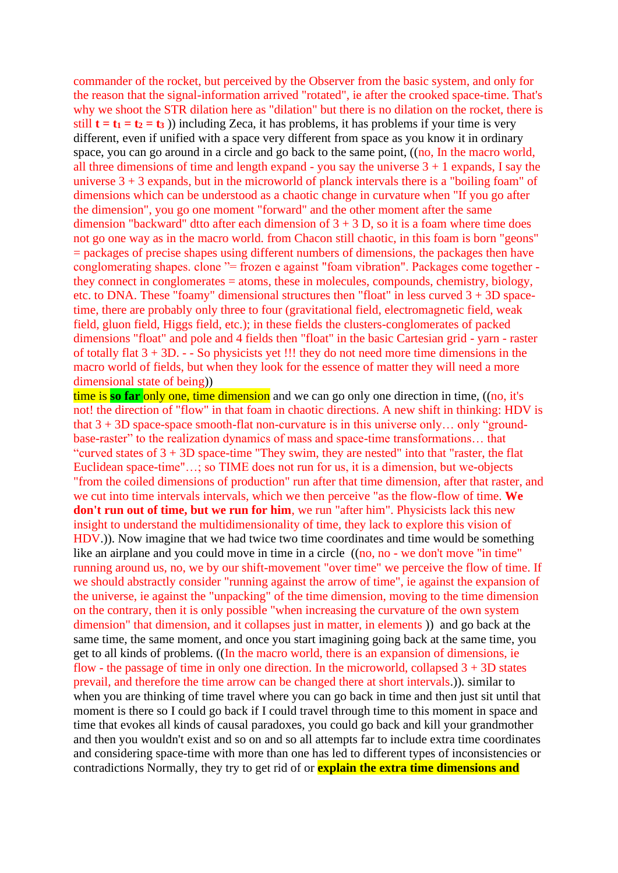commander of the rocket, but perceived by the Observer from the basic system, and only for the reason that the signal-information arrived "rotated", ie after the crooked space-time. That's why we shoot the STR dilation here as "dilation" but there is no dilation on the rocket, there is still  $t = t_1 = t_2 = t_3$ ) including Zeca, it has problems, it has problems if your time is very different, even if unified with a space very different from space as you know it in ordinary space, you can go around in a circle and go back to the same point, ((no, In the macro world, all three dimensions of time and length expand - you say the universe  $3 + 1$  expands, I say the universe  $3 + 3$  expands, but in the microworld of planck intervals there is a "boiling foam" of dimensions which can be understood as a chaotic change in curvature when "If you go after the dimension", you go one moment "forward" and the other moment after the same dimension "backward" dtto after each dimension of  $3 + 3$  D, so it is a foam where time does not go one way as in the macro world. from Chacon still chaotic, in this foam is born "geons" = packages of precise shapes using different numbers of dimensions, the packages then have conglomerating shapes. clone "= frozen e against "foam vibration". Packages come together they connect in conglomerates = atoms, these in molecules, compounds, chemistry, biology, etc. to DNA. These "foamy" dimensional structures then "float" in less curved  $3 + 3D$  spacetime, there are probably only three to four (gravitational field, electromagnetic field, weak field, gluon field, Higgs field, etc.); in these fields the clusters-conglomerates of packed dimensions "float" and pole and 4 fields then "float" in the basic Cartesian grid - yarn - raster of totally flat 3 + 3D. - - So physicists yet !!! they do not need more time dimensions in the macro world of fields, but when they look for the essence of matter they will need a more dimensional state of being))

time is **so far** only one, time dimension and we can go only one direction in time, ((no, it's not! the direction of "flow" in that foam in chaotic directions. A new shift in thinking: HDV is that  $3 + 3D$  space-space smooth-flat non-curvature is in this universe only... only "groundbase-raster" to the realization dynamics of mass and space-time transformations… that "curved states of 3 + 3D space-time "They swim, they are nested" into that "raster, the flat Euclidean space-time"…; so TIME does not run for us, it is a dimension, but we-objects "from the coiled dimensions of production" run after that time dimension, after that raster, and we cut into time intervals intervals, which we then perceive "as the flow-flow of time. **We don't run out of time, but we run for him**, we run "after him". Physicists lack this new insight to understand the multidimensionality of time, they lack to explore this vision of HDV.)). Now imagine that we had twice two time coordinates and time would be something like an airplane and you could move in time in a circle  $((no, no - we don't move "in time")$ running around us, no, we by our shift-movement "over time" we perceive the flow of time. If we should abstractly consider "running against the arrow of time", ie against the expansion of the universe, ie against the "unpacking" of the time dimension, moving to the time dimension on the contrary, then it is only possible "when increasing the curvature of the own system dimension" that dimension, and it collapses just in matter, in elements )) and go back at the same time, the same moment, and once you start imagining going back at the same time, you get to all kinds of problems. ((In the macro world, there is an expansion of dimensions, ie flow - the passage of time in only one direction. In the microworld, collapsed  $3 + 3D$  states prevail, and therefore the time arrow can be changed there at short intervals.)). similar to when you are thinking of time travel where you can go back in time and then just sit until that moment is there so I could go back if I could travel through time to this moment in space and time that evokes all kinds of causal paradoxes, you could go back and kill your grandmother and then you wouldn't exist and so on and so all attempts far to include extra time coordinates and considering space-time with more than one has led to different types of inconsistencies or contradictions Normally, they try to get rid of or **explain the extra time dimensions and**